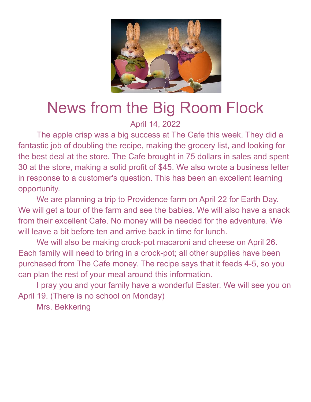

## News from the Big Room Flock

## April 14, 2022

The apple crisp was a big success at The Cafe this week. They did a fantastic job of doubling the recipe, making the grocery list, and looking for the best deal at the store. The Cafe brought in 75 dollars in sales and spent 30 at the store, making a solid profit of \$45. We also wrote a business letter in response to a customer's question. This has been an excellent learning opportunity.

We are planning a trip to Providence farm on April 22 for Earth Day. We will get a tour of the farm and see the babies. We will also have a snack from their excellent Cafe. No money will be needed for the adventure. We will leave a bit before ten and arrive back in time for lunch.

We will also be making crock-pot macaroni and cheese on April 26. Each family will need to bring in a crock-pot; all other supplies have been purchased from The Cafe money. The recipe says that it feeds 4-5, so you can plan the rest of your meal around this information.

I pray you and your family have a wonderful Easter. We will see you on April 19. (There is no school on Monday)

Mrs. Bekkering